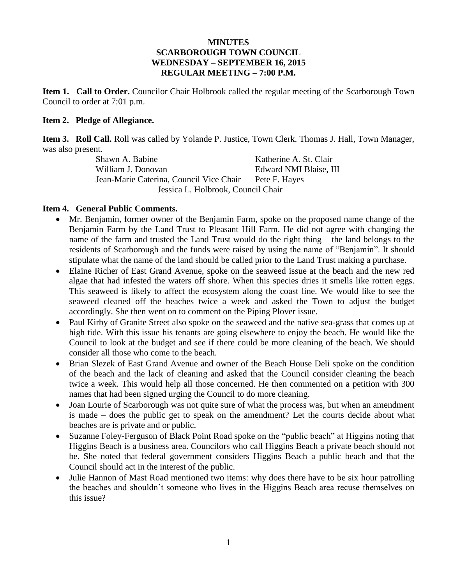## **MINUTES SCARBOROUGH TOWN COUNCIL WEDNESDAY – SEPTEMBER 16, 2015 REGULAR MEETING – 7:00 P.M.**

**Item 1. Call to Order.** Councilor Chair Holbrook called the regular meeting of the Scarborough Town Council to order at 7:01 p.m.

## **Item 2. Pledge of Allegiance.**

**Item 3. Roll Call.** Roll was called by Yolande P. Justice, Town Clerk. Thomas J. Hall, Town Manager, was also present.

Shawn A. Babine Katherine A. St. Clair William J. Donovan Edward NMI Blaise, III Jean-Marie Caterina, Council Vice Chair Pete F. Hayes Jessica L. Holbrook, Council Chair

# **Item 4. General Public Comments.**

- Mr. Benjamin, former owner of the Benjamin Farm, spoke on the proposed name change of the Benjamin Farm by the Land Trust to Pleasant Hill Farm. He did not agree with changing the name of the farm and trusted the Land Trust would do the right thing – the land belongs to the residents of Scarborough and the funds were raised by using the name of "Benjamin". It should stipulate what the name of the land should be called prior to the Land Trust making a purchase.
- Elaine Richer of East Grand Avenue, spoke on the seaweed issue at the beach and the new red algae that had infested the waters off shore. When this species dries it smells like rotten eggs. This seaweed is likely to affect the ecosystem along the coast line. We would like to see the seaweed cleaned off the beaches twice a week and asked the Town to adjust the budget accordingly. She then went on to comment on the Piping Plover issue.
- Paul Kirby of Granite Street also spoke on the seaweed and the native sea-grass that comes up at high tide. With this issue his tenants are going elsewhere to enjoy the beach. He would like the Council to look at the budget and see if there could be more cleaning of the beach. We should consider all those who come to the beach.
- Brian Slezek of East Grand Avenue and owner of the Beach House Deli spoke on the condition of the beach and the lack of cleaning and asked that the Council consider cleaning the beach twice a week. This would help all those concerned. He then commented on a petition with 300 names that had been signed urging the Council to do more cleaning.
- Joan Lourie of Scarborough was not quite sure of what the process was, but when an amendment is made – does the public get to speak on the amendment? Let the courts decide about what beaches are is private and or public.
- Suzanne Foley-Ferguson of Black Point Road spoke on the "public beach" at Higgins noting that Higgins Beach is a business area. Councilors who call Higgins Beach a private beach should not be. She noted that federal government considers Higgins Beach a public beach and that the Council should act in the interest of the public.
- Julie Hannon of Mast Road mentioned two items: why does there have to be six hour patrolling the beaches and shouldn't someone who lives in the Higgins Beach area recuse themselves on this issue?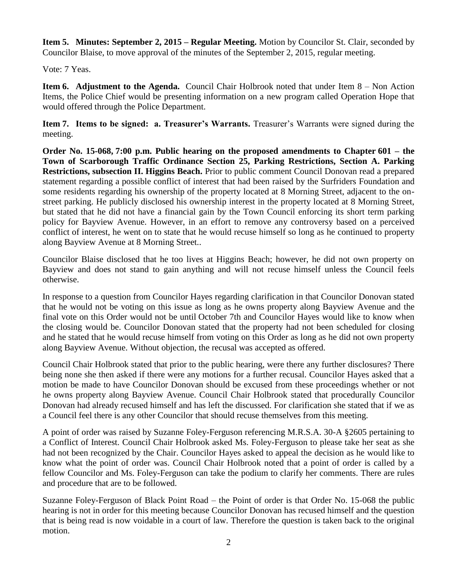**Item 5. Minutes: September 2, 2015 – Regular Meeting.** Motion by Councilor St. Clair, seconded by Councilor Blaise, to move approval of the minutes of the September 2, 2015, regular meeting.

Vote: 7 Yeas.

**Item 6. Adjustment to the Agenda.** Council Chair Holbrook noted that under Item 8 – Non Action Items, the Police Chief would be presenting information on a new program called Operation Hope that would offered through the Police Department.

**Item 7. Items to be signed: a. Treasurer's Warrants.** Treasurer's Warrants were signed during the meeting.

**Order No. 15-068, 7:00 p.m. Public hearing on the proposed amendments to Chapter 601 – the Town of Scarborough Traffic Ordinance Section 25, Parking Restrictions, Section A. Parking Restrictions, subsection II. Higgins Beach.** Prior to public comment Council Donovan read a prepared statement regarding a possible conflict of interest that had been raised by the Surfriders Foundation and some residents regarding his ownership of the property located at 8 Morning Street, adjacent to the onstreet parking. He publicly disclosed his ownership interest in the property located at 8 Morning Street, but stated that he did not have a financial gain by the Town Council enforcing its short term parking policy for Bayview Avenue. However, in an effort to remove any controversy based on a perceived conflict of interest, he went on to state that he would recuse himself so long as he continued to property along Bayview Avenue at 8 Morning Street..

Councilor Blaise disclosed that he too lives at Higgins Beach; however, he did not own property on Bayview and does not stand to gain anything and will not recuse himself unless the Council feels otherwise.

In response to a question from Councilor Hayes regarding clarification in that Councilor Donovan stated that he would not be voting on this issue as long as he owns property along Bayview Avenue and the final vote on this Order would not be until October 7th and Councilor Hayes would like to know when the closing would be. Councilor Donovan stated that the property had not been scheduled for closing and he stated that he would recuse himself from voting on this Order as long as he did not own property along Bayview Avenue. Without objection, the recusal was accepted as offered.

Council Chair Holbrook stated that prior to the public hearing, were there any further disclosures? There being none she then asked if there were any motions for a further recusal. Councilor Hayes asked that a motion be made to have Councilor Donovan should be excused from these proceedings whether or not he owns property along Bayview Avenue. Council Chair Holbrook stated that procedurally Councilor Donovan had already recused himself and has left the discussed. For clarification she stated that if we as a Council feel there is any other Councilor that should recuse themselves from this meeting.

A point of order was raised by Suzanne Foley-Ferguson referencing M.R.S.A. 30-A §2605 pertaining to a Conflict of Interest. Council Chair Holbrook asked Ms. Foley-Ferguson to please take her seat as she had not been recognized by the Chair. Councilor Hayes asked to appeal the decision as he would like to know what the point of order was. Council Chair Holbrook noted that a point of order is called by a fellow Councilor and Ms. Foley-Ferguson can take the podium to clarify her comments. There are rules and procedure that are to be followed.

Suzanne Foley-Ferguson of Black Point Road – the Point of order is that Order No. 15-068 the public hearing is not in order for this meeting because Councilor Donovan has recused himself and the question that is being read is now voidable in a court of law. Therefore the question is taken back to the original motion.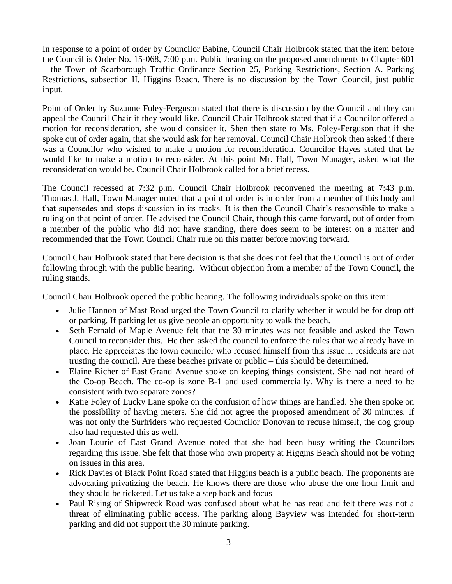In response to a point of order by Councilor Babine, Council Chair Holbrook stated that the item before the Council is Order No. 15-068, 7:00 p.m. Public hearing on the proposed amendments to Chapter 601 – the Town of Scarborough Traffic Ordinance Section 25, Parking Restrictions, Section A. Parking Restrictions, subsection II. Higgins Beach. There is no discussion by the Town Council, just public input.

Point of Order by Suzanne Foley-Ferguson stated that there is discussion by the Council and they can appeal the Council Chair if they would like. Council Chair Holbrook stated that if a Councilor offered a motion for reconsideration, she would consider it. Shen then state to Ms. Foley-Ferguson that if she spoke out of order again, that she would ask for her removal. Council Chair Holbrook then asked if there was a Councilor who wished to make a motion for reconsideration. Councilor Hayes stated that he would like to make a motion to reconsider. At this point Mr. Hall, Town Manager, asked what the reconsideration would be. Council Chair Holbrook called for a brief recess.

The Council recessed at 7:32 p.m. Council Chair Holbrook reconvened the meeting at 7:43 p.m. Thomas J. Hall, Town Manager noted that a point of order is in order from a member of this body and that supersedes and stops discussion in its tracks. It is then the Council Chair's responsible to make a ruling on that point of order. He advised the Council Chair, though this came forward, out of order from a member of the public who did not have standing, there does seem to be interest on a matter and recommended that the Town Council Chair rule on this matter before moving forward.

Council Chair Holbrook stated that here decision is that she does not feel that the Council is out of order following through with the public hearing. Without objection from a member of the Town Council, the ruling stands.

Council Chair Holbrook opened the public hearing. The following individuals spoke on this item:

- Julie Hannon of Mast Road urged the Town Council to clarify whether it would be for drop off or parking. If parking let us give people an opportunity to walk the beach.
- Seth Fernald of Maple Avenue felt that the 30 minutes was not feasible and asked the Town Council to reconsider this. He then asked the council to enforce the rules that we already have in place. He appreciates the town councilor who recused himself from this issue… residents are not trusting the council. Are these beaches private or public – this should be determined.
- Elaine Richer of East Grand Avenue spoke on keeping things consistent. She had not heard of the Co-op Beach. The co-op is zone B-1 and used commercially. Why is there a need to be consistent with two separate zones?
- Katie Foley of Lucky Lane spoke on the confusion of how things are handled. She then spoke on the possibility of having meters. She did not agree the proposed amendment of 30 minutes. If was not only the Surfriders who requested Councilor Donovan to recuse himself, the dog group also had requested this as well.
- Joan Lourie of East Grand Avenue noted that she had been busy writing the Councilors regarding this issue. She felt that those who own property at Higgins Beach should not be voting on issues in this area.
- Rick Davies of Black Point Road stated that Higgins beach is a public beach. The proponents are advocating privatizing the beach. He knows there are those who abuse the one hour limit and they should be ticketed. Let us take a step back and focus
- Paul Rising of Shipwreck Road was confused about what he has read and felt there was not a threat of eliminating public access. The parking along Bayview was intended for short-term parking and did not support the 30 minute parking.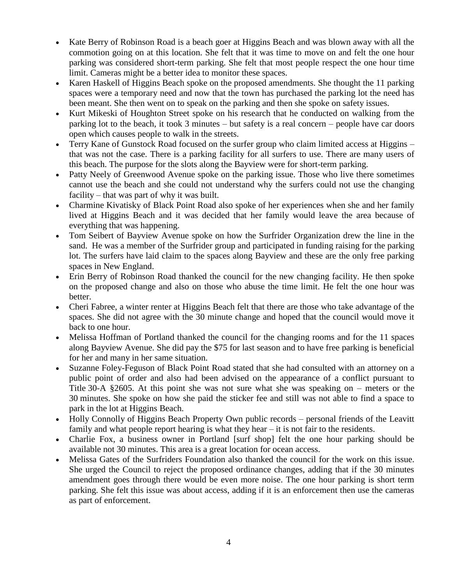- Kate Berry of Robinson Road is a beach goer at Higgins Beach and was blown away with all the commotion going on at this location. She felt that it was time to move on and felt the one hour parking was considered short-term parking. She felt that most people respect the one hour time limit. Cameras might be a better idea to monitor these spaces.
- Karen Haskell of Higgins Beach spoke on the proposed amendments. She thought the 11 parking spaces were a temporary need and now that the town has purchased the parking lot the need has been meant. She then went on to speak on the parking and then she spoke on safety issues.
- Kurt Mikeski of Houghton Street spoke on his research that he conducted on walking from the parking lot to the beach, it took 3 minutes – but safety is a real concern – people have car doors open which causes people to walk in the streets.
- Terry Kane of Gunstock Road focused on the surfer group who claim limited access at Higgins that was not the case. There is a parking facility for all surfers to use. There are many users of this beach. The purpose for the slots along the Bayview were for short-term parking.
- Patty Neely of Greenwood Avenue spoke on the parking issue. Those who live there sometimes cannot use the beach and she could not understand why the surfers could not use the changing facility – that was part of why it was built.
- Charmine Kivatisky of Black Point Road also spoke of her experiences when she and her family lived at Higgins Beach and it was decided that her family would leave the area because of everything that was happening.
- Tom Seibert of Bayview Avenue spoke on how the Surfrider Organization drew the line in the sand. He was a member of the Surfrider group and participated in funding raising for the parking lot. The surfers have laid claim to the spaces along Bayview and these are the only free parking spaces in New England.
- Erin Berry of Robinson Road thanked the council for the new changing facility. He then spoke on the proposed change and also on those who abuse the time limit. He felt the one hour was better.
- Cheri Fabree, a winter renter at Higgins Beach felt that there are those who take advantage of the spaces. She did not agree with the 30 minute change and hoped that the council would move it back to one hour.
- Melissa Hoffman of Portland thanked the council for the changing rooms and for the 11 spaces along Bayview Avenue. She did pay the \$75 for last season and to have free parking is beneficial for her and many in her same situation.
- Suzanne Foley-Feguson of Black Point Road stated that she had consulted with an attorney on a public point of order and also had been advised on the appearance of a conflict pursuant to Title 30-A §2605. At this point she was not sure what she was speaking on – meters or the 30 minutes. She spoke on how she paid the sticker fee and still was not able to find a space to park in the lot at Higgins Beach.
- Holly Connolly of Higgins Beach Property Own public records personal friends of the Leavitt family and what people report hearing is what they hear – it is not fair to the residents.
- Charlie Fox, a business owner in Portland [surf shop] felt the one hour parking should be available not 30 minutes. This area is a great location for ocean access.
- Melissa Gates of the Surfriders Foundation also thanked the council for the work on this issue. She urged the Council to reject the proposed ordinance changes, adding that if the 30 minutes amendment goes through there would be even more noise. The one hour parking is short term parking. She felt this issue was about access, adding if it is an enforcement then use the cameras as part of enforcement.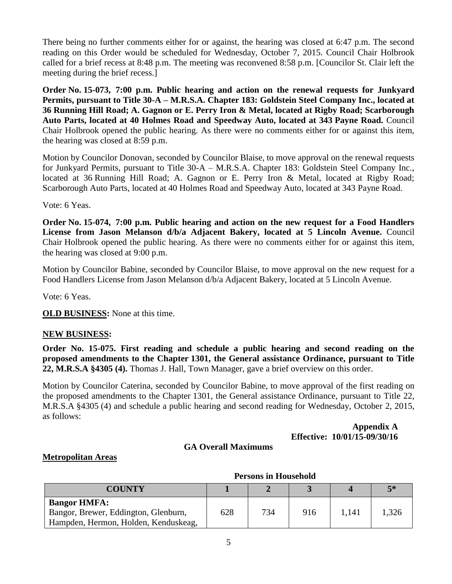There being no further comments either for or against, the hearing was closed at 6:47 p.m. The second reading on this Order would be scheduled for Wednesday, October 7, 2015. Council Chair Holbrook called for a brief recess at 8:48 p.m. The meeting was reconvened 8:58 p.m. [Councilor St. Clair left the meeting during the brief recess.]

**Order No. 15-073, 7:00 p.m. Public hearing and action on the renewal requests for Junkyard Permits, pursuant to Title 30-A – M.R.S.A. Chapter 183: Goldstein Steel Company Inc., located at 36 Running Hill Road; A. Gagnon or E. Perry Iron & Metal, located at Rigby Road; Scarborough Auto Parts, located at 40 Holmes Road and Speedway Auto, located at 343 Payne Road.** Council Chair Holbrook opened the public hearing. As there were no comments either for or against this item, the hearing was closed at 8:59 p.m.

Motion by Councilor Donovan, seconded by Councilor Blaise, to move approval on the renewal requests for Junkyard Permits, pursuant to Title 30-A – M.R.S.A. Chapter 183: Goldstein Steel Company Inc., located at 36 Running Hill Road; A. Gagnon or E. Perry Iron & Metal, located at Rigby Road; Scarborough Auto Parts, located at 40 Holmes Road and Speedway Auto, located at 343 Payne Road.

Vote: 6 Yeas.

**Order No. 15-074, 7:00 p.m. Public hearing and action on the new request for a Food Handlers License from Jason Melanson d/b/a Adjacent Bakery, located at 5 Lincoln Avenue.** Council Chair Holbrook opened the public hearing. As there were no comments either for or against this item, the hearing was closed at 9:00 p.m.

Motion by Councilor Babine, seconded by Councilor Blaise, to move approval on the new request for a Food Handlers License from Jason Melanson d/b/a Adjacent Bakery, located at 5 Lincoln Avenue.

Vote: 6 Yeas.

**OLD BUSINESS:** None at this time.

## **NEW BUSINESS:**

**Order No. 15-075. First reading and schedule a public hearing and second reading on the proposed amendments to the Chapter 1301, the General assistance Ordinance, pursuant to Title 22, M.R.S.A §4305 (4).** Thomas J. Hall, Town Manager, gave a brief overview on this order.

Motion by Councilor Caterina, seconded by Councilor Babine, to move approval of the first reading on the proposed amendments to the Chapter 1301, the General assistance Ordinance, pursuant to Title 22, M.R.S.A §4305 (4) and schedule a public hearing and second reading for Wednesday, October 2, 2015, as follows:

## **Appendix A Effective: 10/01/15-09/30/16**

#### **GA Overall Maximums**

#### **Metropolitan Areas**

|                                      | T ELSOIIS III LLOUSEIIOIU |     |     |       |       |  |
|--------------------------------------|---------------------------|-----|-----|-------|-------|--|
| COUNTY                               |                           |     |     |       | $5*$  |  |
| <b>Bangor HMFA:</b>                  |                           |     |     |       |       |  |
| Bangor, Brewer, Eddington, Glenburn, | 628                       | 734 | 916 | 1.141 | 1,326 |  |
| Hampden, Hermon, Holden, Kenduskeag, |                           |     |     |       |       |  |

# **Persons in Household**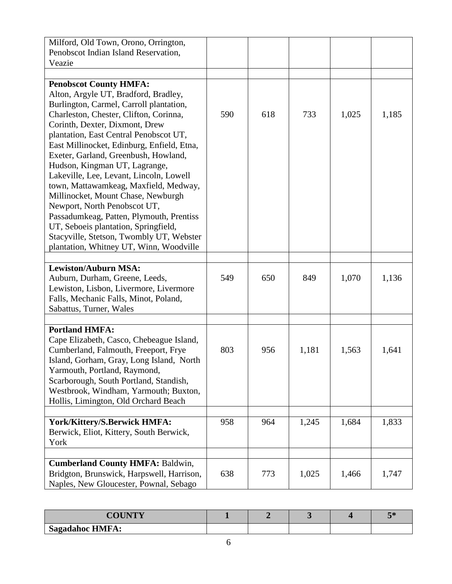| Milford, Old Town, Orono, Orrington,<br>Penobscot Indian Island Reservation,                                                                                                                                                                                                                                                                                                                                                                                                                                                                                                                                                                                                                       |     |     |       |       |       |
|----------------------------------------------------------------------------------------------------------------------------------------------------------------------------------------------------------------------------------------------------------------------------------------------------------------------------------------------------------------------------------------------------------------------------------------------------------------------------------------------------------------------------------------------------------------------------------------------------------------------------------------------------------------------------------------------------|-----|-----|-------|-------|-------|
| Veazie                                                                                                                                                                                                                                                                                                                                                                                                                                                                                                                                                                                                                                                                                             |     |     |       |       |       |
| <b>Penobscot County HMFA:</b><br>Alton, Argyle UT, Bradford, Bradley,<br>Burlington, Carmel, Carroll plantation,<br>Charleston, Chester, Clifton, Corinna,<br>Corinth, Dexter, Dixmont, Drew<br>plantation, East Central Penobscot UT,<br>East Millinocket, Edinburg, Enfield, Etna,<br>Exeter, Garland, Greenbush, Howland,<br>Hudson, Kingman UT, Lagrange,<br>Lakeville, Lee, Levant, Lincoln, Lowell<br>town, Mattawamkeag, Maxfield, Medway,<br>Millinocket, Mount Chase, Newburgh<br>Newport, North Penobscot UT,<br>Passadumkeag, Patten, Plymouth, Prentiss<br>UT, Seboeis plantation, Springfield,<br>Stacyville, Stetson, Twombly UT, Webster<br>plantation, Whitney UT, Winn, Woodville | 590 | 618 | 733   | 1,025 | 1,185 |
| <b>Lewiston/Auburn MSA:</b><br>Auburn, Durham, Greene, Leeds,<br>Lewiston, Lisbon, Livermore, Livermore<br>Falls, Mechanic Falls, Minot, Poland,<br>Sabattus, Turner, Wales                                                                                                                                                                                                                                                                                                                                                                                                                                                                                                                        | 549 | 650 | 849   | 1,070 | 1,136 |
| <b>Portland HMFA:</b><br>Cape Elizabeth, Casco, Chebeague Island,<br>Cumberland, Falmouth, Freeport, Frye<br>Island, Gorham, Gray, Long Island, North<br>Yarmouth, Portland, Raymond,<br>Scarborough, South Portland, Standish,<br>Westbrook, Windham, Yarmouth; Buxton,<br>Hollis, Limington, Old Orchard Beach                                                                                                                                                                                                                                                                                                                                                                                   | 803 | 956 | 1,181 | 1,563 | 1,641 |
| York/Kittery/S.Berwick HMFA:<br>Berwick, Eliot, Kittery, South Berwick,<br>York                                                                                                                                                                                                                                                                                                                                                                                                                                                                                                                                                                                                                    | 958 | 964 | 1,245 | 1,684 | 1,833 |
| <b>Cumberland County HMFA: Baldwin,</b><br>Bridgton, Brunswick, Harpswell, Harrison,<br>Naples, New Gloucester, Pownal, Sebago                                                                                                                                                                                                                                                                                                                                                                                                                                                                                                                                                                     | 638 | 773 | 1,025 | 1,466 | 1,747 |

| COHNTV                 |  |  | $\overline{\phantom{a}}$ |
|------------------------|--|--|--------------------------|
| <b>Sagadahoc HMFA:</b> |  |  |                          |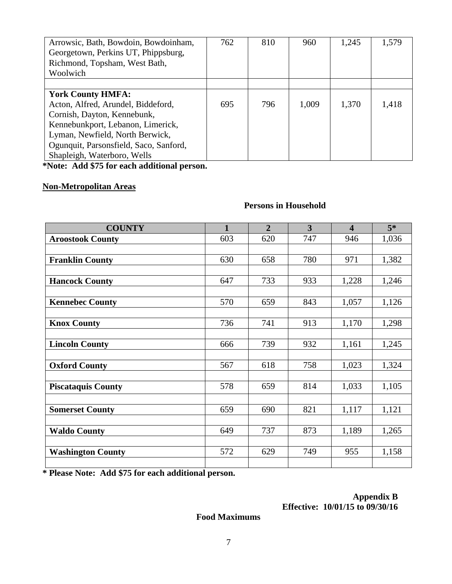| Arrowsic, Bath, Bowdoin, Bowdoinham,   | 762 | 810 | 960   | 1,245 | 1,579 |
|----------------------------------------|-----|-----|-------|-------|-------|
| Georgetown, Perkins UT, Phippsburg,    |     |     |       |       |       |
| Richmond, Topsham, West Bath,          |     |     |       |       |       |
| Woolwich                               |     |     |       |       |       |
|                                        |     |     |       |       |       |
| <b>York County HMFA:</b>               |     |     |       |       |       |
| Acton, Alfred, Arundel, Biddeford,     | 695 | 796 | 1,009 | 1,370 | 1,418 |
| Cornish, Dayton, Kennebunk,            |     |     |       |       |       |
| Kennebunkport, Lebanon, Limerick,      |     |     |       |       |       |
| Lyman, Newfield, North Berwick,        |     |     |       |       |       |
| Ogunquit, Parsonsfield, Saco, Sanford, |     |     |       |       |       |
| Shapleigh, Waterboro, Wells            |     |     |       |       |       |

**\*Note: Add \$75 for each additional person.**

# **Non-Metropolitan Areas**

## **Persons in Household**

| <b>COUNTY</b>             | $\mathbf{1}$ | $\overline{2}$ | 3   | $\overline{\mathbf{4}}$ | $5*$  |
|---------------------------|--------------|----------------|-----|-------------------------|-------|
| <b>Aroostook County</b>   | 603          | 620            | 747 | 946                     | 1,036 |
|                           |              |                |     |                         |       |
| <b>Franklin County</b>    | 630          | 658            | 780 | 971                     | 1,382 |
|                           |              |                |     |                         |       |
| <b>Hancock County</b>     | 647          | 733            | 933 | 1,228                   | 1,246 |
|                           |              |                |     |                         |       |
| <b>Kennebec County</b>    | 570          | 659            | 843 | 1,057                   | 1,126 |
|                           |              |                |     |                         |       |
| <b>Knox County</b>        | 736          | 741            | 913 | 1,170                   | 1,298 |
| <b>Lincoln County</b>     | 666          | 739            | 932 | 1,161                   | 1,245 |
|                           |              |                |     |                         |       |
| <b>Oxford County</b>      | 567          | 618            | 758 | 1,023                   | 1,324 |
|                           |              |                |     |                         |       |
| <b>Piscataquis County</b> | 578          | 659            | 814 | 1,033                   | 1,105 |
|                           |              |                |     |                         |       |
| <b>Somerset County</b>    | 659          | 690            | 821 | 1,117                   | 1,121 |
|                           |              |                |     |                         |       |
| <b>Waldo County</b>       | 649          | 737            | 873 | 1,189                   | 1,265 |
|                           |              |                |     |                         |       |
| <b>Washington County</b>  | 572          | 629            | 749 | 955                     | 1,158 |
|                           |              |                |     |                         |       |

**\* Please Note: Add \$75 for each additional person.**

## **Appendix B Effective: 10/01/15 to 09/30/16**

**Food Maximums**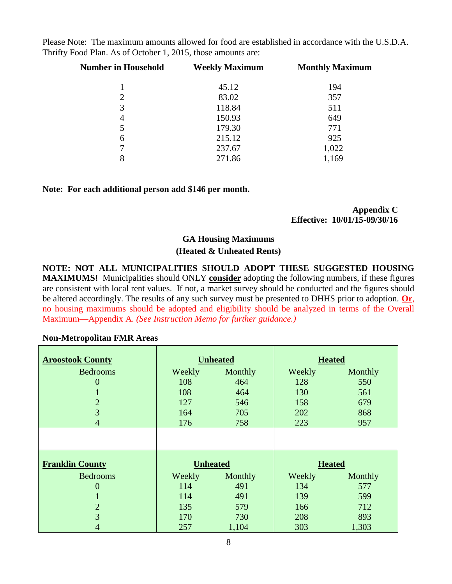Please Note: The maximum amounts allowed for food are established in accordance with the U.S.D.A. Thrifty Food Plan. As of October 1, 2015, those amounts are:

| <b>Number in Household</b> | <b>Weekly Maximum</b> | <b>Monthly Maximum</b> |  |
|----------------------------|-----------------------|------------------------|--|
|                            | 45.12                 | 194                    |  |
| $\overline{2}$             | 83.02                 | 357                    |  |
| 3                          | 118.84                | 511                    |  |
| 4                          | 150.93                | 649                    |  |
| 5                          | 179.30                | 771                    |  |
| 6                          | 215.12                | 925                    |  |
| 7                          | 237.67                | 1,022                  |  |
| 8                          | 271.86                | 1,169                  |  |

#### **Note: For each additional person add \$146 per month.**

#### **Appendix C Effective: 10/01/15-09/30/16**

# **GA Housing Maximums**

# **(Heated & Unheated Rents)**

**NOTE: NOT ALL MUNICIPALITIES SHOULD ADOPT THESE SUGGESTED HOUSING MAXIMUMS!** Municipalities should ONLY **consider** adopting the following numbers, if these figures are consistent with local rent values. If not, a market survey should be conducted and the figures should be altered accordingly. The results of any such survey must be presented to DHHS prior to adoption. **Or**, no housing maximums should be adopted and eligibility should be analyzed in terms of the Overall Maximum—Appendix A. *(See Instruction Memo for further guidance.)*

## **Non-Metropolitan FMR Areas**

| <b>Aroostook County</b> | <b>Unheated</b> |         | <b>Heated</b> |         |
|-------------------------|-----------------|---------|---------------|---------|
| <b>Bedrooms</b>         | Weekly          | Monthly | Weekly        | Monthly |
| 0                       | 108             | 464     | 128           | 550     |
|                         | 108             | 464     | 130           | 561     |
| $\overline{2}$          | 127             | 546     | 158           | 679     |
| 3                       | 164             | 705     | 202           | 868     |
| $\overline{4}$          | 176             | 758     | 223           | 957     |
|                         |                 |         |               |         |
| <b>Franklin County</b>  | <b>Unheated</b> |         | <b>Heated</b> |         |
| <b>Bedrooms</b>         | Weekly          | Monthly | Weekly        | Monthly |
| 0                       | 114             | 491     | 134           | 577     |
|                         | 114             | 491     | 139           | 599     |
| $\overline{2}$          | 135             | 579     | 166           | 712     |
| 3                       | 170             | 730     | 208           | 893     |
| 4                       | 257             | 1,104   | 303           | 1,303   |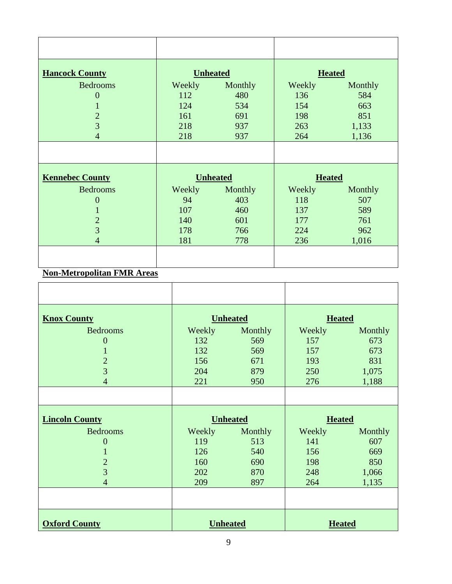| <b>Hancock County</b>  | <b>Unheated</b> |                                  | <b>Heated</b> |         |
|------------------------|-----------------|----------------------------------|---------------|---------|
| <b>Bedrooms</b>        | Weekly          | Monthly                          | Weekly        | Monthly |
| $\overline{0}$         | 112             | 480                              | 136           | 584     |
| $\mathbf{1}$           | 124             | 534                              | 154           | 663     |
| $\overline{2}$         | 161             | 691                              | 198           | 851     |
| $\overline{3}$         | 218             | 937                              | 263           | 1,133   |
| $\overline{4}$         | 218             | 937                              | 264           | 1,136   |
|                        |                 |                                  |               |         |
| <b>Kennebec County</b> |                 | <b>Unheated</b><br><b>Heated</b> |               |         |
| <b>Bedrooms</b>        | Weekly          | Monthly                          | Weekly        | Monthly |
| $\overline{0}$         | 94              | 403                              | 118           | 507     |
|                        | 107             | 460                              | 137           | 589     |
| $\overline{2}$         | 140             | 601                              | 177           | 761     |
| $\overline{3}$         | 178             | 766                              | 224           | 962     |
| $\overline{4}$         | 181             | 778                              | 236           | 1,016   |
|                        |                 |                                  |               |         |

# **Non-Metropolitan FMR Areas**

| <b>Knox County</b>    | <b>Unheated</b> |         | <b>Heated</b> |               |
|-----------------------|-----------------|---------|---------------|---------------|
| <b>Bedrooms</b>       | Weekly          | Monthly | Weekly        | Monthly       |
| $\overline{0}$        | 132             | 569     | 157           | 673           |
| 1                     | 132             | 569     | 157           | 673           |
| $\overline{2}$        | 156             | 671     | 193           | 831           |
| 3                     | 204             | 879     | 250           | 1,075         |
| $\overline{4}$        | 221             | 950     | 276           | 1,188         |
|                       |                 |         |               |               |
| <b>Lincoln County</b> | <b>Unheated</b> |         | <b>Heated</b> |               |
| <b>Bedrooms</b>       | Weekly          | Monthly | Weekly        | Monthly       |
| $\overline{0}$        | 119             | 513     | 141           | 607           |
| 1                     | 126             | 540     | 156           | 669           |
| $\overline{2}$        | 160             | 690     | 198           | 850           |
| 3                     | 202             | 870     | 248           | 1,066         |
| $\overline{4}$        | 209             | 897     | 264           | 1,135         |
|                       |                 |         |               |               |
| <b>Oxford County</b>  | <b>Unheated</b> |         |               | <b>Heated</b> |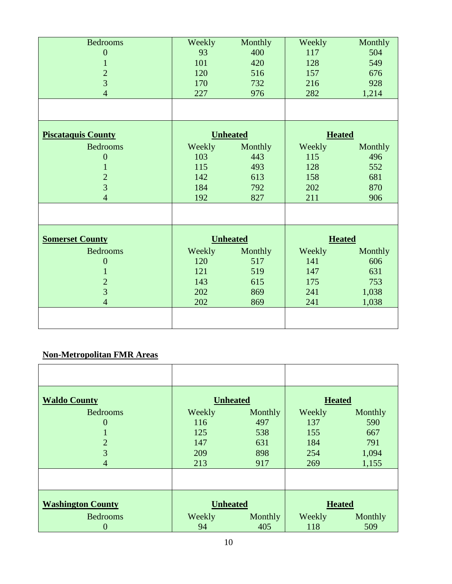| <b>Bedrooms</b>           | Weekly | Monthly         | Weekly        | Monthly       |  |
|---------------------------|--------|-----------------|---------------|---------------|--|
| $\overline{0}$            | 93     | 400             | 117           | 504           |  |
| $\mathbf{1}$              | 101    | 420             | 128           | 549           |  |
| $\overline{c}$            | 120    | 516             | 157           | 676           |  |
| $\overline{3}$            | 170    | 732             | 216           | 928           |  |
| $\overline{4}$            | 227    | 976             | 282           | 1,214         |  |
|                           |        |                 |               |               |  |
| <b>Piscataquis County</b> |        | <b>Unheated</b> | <b>Heated</b> |               |  |
| <b>Bedrooms</b>           | Weekly | Monthly         | Weekly        | Monthly       |  |
| $\overline{0}$            | 103    | 443             | 115           | 496           |  |
| 1                         | 115    | 493             | 128           | 552           |  |
| $\overline{c}$            | 142    | 613             | 158           | 681           |  |
| $\overline{3}$            | 184    | 792             | 202           | 870           |  |
| $\overline{4}$            | 192    | 827             | 211           | 906           |  |
|                           |        |                 |               |               |  |
| <b>Somerset County</b>    |        | <b>Unheated</b> |               | <b>Heated</b> |  |
| <b>Bedrooms</b>           | Weekly | Monthly         | Weekly        | Monthly       |  |
| $\boldsymbol{0}$          | 120    | 517             | 141           | 606           |  |
| 1                         | 121    | 519             | 147           | 631           |  |
| $\overline{c}$            | 143    | 615             | 175           | 753           |  |
| $\overline{3}$            | 202    | 869             | 241           | 1,038         |  |
| $\overline{4}$            | 202    | 869             | 241           | 1,038         |  |
|                           |        |                 |               |               |  |

# **Non-Metropolitan FMR Areas**

| <b>Waldo County</b>      |                 | <b>Unheated</b> | <b>Heated</b> |         |
|--------------------------|-----------------|-----------------|---------------|---------|
| <b>Bedrooms</b>          | Weekly          | Monthly         | Weekly        | Monthly |
| $\overline{0}$           | 116             | 497             | 137           | 590     |
|                          | 125             | 538             | 155           | 667     |
| $\overline{2}$           | 147             | 631             | 184           | 791     |
| 3                        | 209             | 898             | 254           | 1,094   |
| $\overline{4}$           | 213             | 917             | 269           | 1,155   |
|                          |                 |                 |               |         |
|                          |                 |                 |               |         |
| <b>Washington County</b> | <b>Unheated</b> |                 | <b>Heated</b> |         |
| <b>Bedrooms</b>          | Weekly          | Monthly         | Weekly        | Monthly |
| $\overline{0}$           | 94              | 405             | 118           | 509     |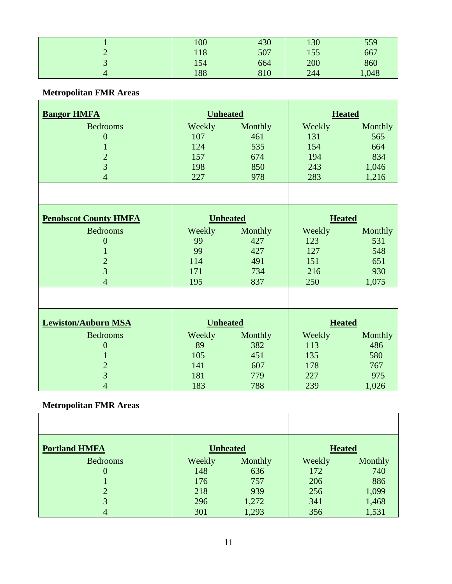|   | 100 | 430 | 130 | 559   |
|---|-----|-----|-----|-------|
|   | 118 | 507 | 155 | 667   |
| ັ | 154 | 664 | 200 | 860   |
|   | 188 | 810 | 244 | 1,048 |

# **Metropolitan FMR Areas**

| <b>Bangor HMFA</b>           | <b>Unheated</b> |                 |               | <b>Heated</b> |
|------------------------------|-----------------|-----------------|---------------|---------------|
| <b>Bedrooms</b>              | Weekly          | Monthly         | Weekly        | Monthly       |
| $\overline{0}$               | 107             | 461             | 131           | 565           |
| $\mathbf{1}$                 | 124             | 535             | 154           | 664           |
| $\overline{2}$               | 157             | 674             | 194           | 834           |
| $\overline{3}$               | 198             | 850             | 243           | 1,046         |
| $\overline{4}$               | 227             | 978             | 283           | 1,216         |
|                              |                 |                 |               |               |
| <b>Penobscot County HMFA</b> |                 | <b>Unheated</b> | <b>Heated</b> |               |
| <b>Bedrooms</b>              | Weekly          | Monthly         | Weekly        | Monthly       |
| $\overline{0}$               | 99              | 427             | 123           | 531           |
| $\mathbf{1}$                 | 99              | 427             | 127           | 548           |
| $\overline{2}$               | 114             | 491             | 151           | 651           |
| $\overline{3}$               | 171             | 734             | 216           | 930           |
| $\overline{4}$               | 195             | 837             | 250           | 1,075         |
|                              |                 |                 |               |               |
|                              |                 |                 |               |               |
| <b>Lewiston/Auburn MSA</b>   | <b>Unheated</b> |                 | <b>Heated</b> |               |
| <b>Bedrooms</b>              | Weekly          | Monthly         | Weekly        | Monthly       |
| $\overline{0}$               | 89              | 382             | 113           | 486           |
| $\mathbf{1}$                 | 105             | 451             | 135           | 580           |
| $\sqrt{2}$                   | 141             | 607             | 178           | 767           |
| $\overline{3}$               | 181             | 779             | 227           | 975           |
| $\overline{4}$               | 183             | 788             | 239           | 1,026         |

# **Metropolitan FMR Areas**

| <b>Portland HMFA</b> |        | <b>Unheated</b> | <b>Heated</b> |         |
|----------------------|--------|-----------------|---------------|---------|
| <b>Bedrooms</b>      | Weekly | Monthly         | Weekly        | Monthly |
| $\theta$             | 148    | 636             | 172           | 740     |
|                      | 176    | 757             | 206           | 886     |
|                      | 218    | 939             | 256           | 1,099   |
| 3                    | 296    | 1,272           | 341           | 1,468   |
| 4                    | 301    | 1,293           | 356           | 1,531   |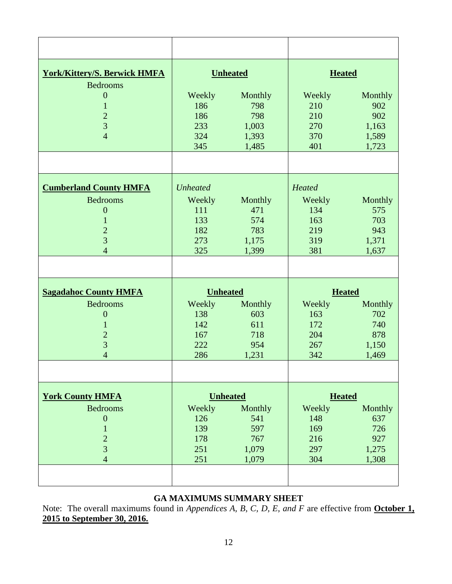| <b>York/Kittery/S. Berwick HMFA</b> |                 | <b>Unheated</b> | <b>Heated</b> |         |
|-------------------------------------|-----------------|-----------------|---------------|---------|
| <b>Bedrooms</b>                     |                 |                 |               |         |
| $\theta$                            | Weekly          | Monthly         | Weekly        | Monthly |
| $\mathbf{1}$                        | 186             | 798             | 210           | 902     |
| $\overline{2}$                      | 186             | 798             | 210           | 902     |
| 3                                   | 233             | 1,003           | 270           | 1,163   |
| $\overline{4}$                      | 324             | 1,393           | 370           | 1,589   |
|                                     | 345             | 1,485           | 401           | 1,723   |
|                                     |                 |                 |               |         |
|                                     |                 |                 |               |         |
| <b>Cumberland County HMFA</b>       | <b>Unheated</b> |                 | Heated        |         |
| <b>Bedrooms</b>                     | Weekly          | Monthly         | Weekly        | Monthly |
| $\boldsymbol{0}$                    | 111             | 471             | 134           | 575     |
| $\mathbf{1}$                        | 133             | 574             | 163           | 703     |
| $\overline{2}$                      | 182             | 783             | 219           | 943     |
| $\overline{3}$                      | 273             | 1,175           | 319           | 1,371   |
| $\overline{4}$                      | 325             | 1,399           | 381           | 1,637   |
|                                     |                 |                 |               |         |
|                                     |                 |                 |               |         |
|                                     |                 |                 |               |         |
| <b>Sagadahoc County HMFA</b>        | <b>Unheated</b> |                 | <b>Heated</b> |         |
| <b>Bedrooms</b>                     | Weekly          | Monthly         | Weekly        | Monthly |
| $\overline{0}$                      | 138             | 603             | 163           | 702     |
| $\mathbf{1}$                        | 142             | 611             | 172           | 740     |
| $\overline{2}$                      | 167             | 718             | 204           | 878     |
| 3                                   | 222             | 954             | 267           | 1,150   |
| $\overline{4}$                      | 286             | 1,231           | 342           | 1,469   |
|                                     |                 |                 |               |         |
| <b>York County HMFA</b>             |                 | <b>Unheated</b> | <b>Heated</b> |         |
| <b>Bedrooms</b>                     | Weekly          | Monthly         | Weekly        | Monthly |
| $\boldsymbol{0}$                    | 126             | 541             | 148           | 637     |
| $\mathbf{1}$                        | 139             | 597             | 169           | 726     |
| $\overline{c}$                      | 178             | 767             | 216           | 927     |
| $\overline{3}$                      | 251             | 1,079           | 297           | 1,275   |
| $\overline{4}$                      | 251             | 1,079           | 304           | 1,308   |
|                                     |                 |                 |               |         |
|                                     |                 |                 |               |         |

# **GA MAXIMUMS SUMMARY SHEET**

Note: The overall maximums found in *Appendices A, B, C, D, E, and F* are effective from **October 1, 2015 to September 30, 2016.**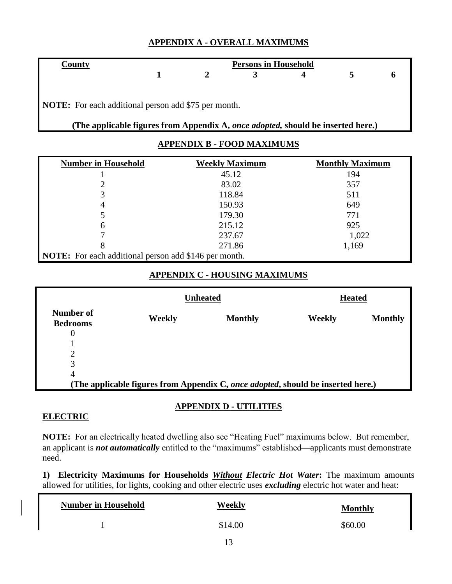# **APPENDIX A - OVERALL MAXIMUMS**

|  | <b>Persons in Household</b> |  |  |
|--|-----------------------------|--|--|
|  |                             |  |  |
|  |                             |  |  |

**NOTE:** For each additional person add \$75 per month.

**(The applicable figures from Appendix A,** *once adopted,* **should be inserted here.)**

# **APPENDIX B - FOOD MAXIMUMS**

| <b>Number in Household</b>                                   | <b>Weekly Maximum</b> | <b>Monthly Maximum</b> |
|--------------------------------------------------------------|-----------------------|------------------------|
|                                                              | 45.12                 | 194                    |
|                                                              | 83.02                 | 357                    |
| 3                                                            | 118.84                | 511                    |
| $\overline{4}$                                               | 150.93                | 649                    |
|                                                              | 179.30                | 771                    |
| 6                                                            | 215.12                | 925                    |
|                                                              | 237.67                | 1,022                  |
| 8                                                            | 271.86                | 1,169                  |
| <b>NOTE:</b> For each additional person add \$146 per month. |                       |                        |

# **APPENDIX C - HOUSING MAXIMUMS**

|                                                                                  |        | <b>Unheated</b> | <b>Heated</b> |                |
|----------------------------------------------------------------------------------|--------|-----------------|---------------|----------------|
| Number of<br><b>Bedrooms</b>                                                     | Weekly | <b>Monthly</b>  | Weekly        | <b>Monthly</b> |
| $\theta$                                                                         |        |                 |               |                |
|                                                                                  |        |                 |               |                |
| C                                                                                |        |                 |               |                |
| 3                                                                                |        |                 |               |                |
| 4                                                                                |        |                 |               |                |
| (The applicable figures from Appendix C, once adopted, should be inserted here.) |        |                 |               |                |

# **APPENDIX D - UTILITIES**

# **ELECTRIC**

**NOTE:** For an electrically heated dwelling also see "Heating Fuel" maximums below. But remember, an applicant is *not automatically* entitled to the "maximums" established—applicants must demonstrate need.

**1) Electricity Maximums for Households** *Without Electric Hot Water***:** The maximum amounts allowed for utilities, for lights, cooking and other electric uses *excluding* electric hot water and heat:

| <b>Number in Household</b> | Weekly  | <b>Monthly</b> |
|----------------------------|---------|----------------|
|                            | \$14.00 | \$60.00        |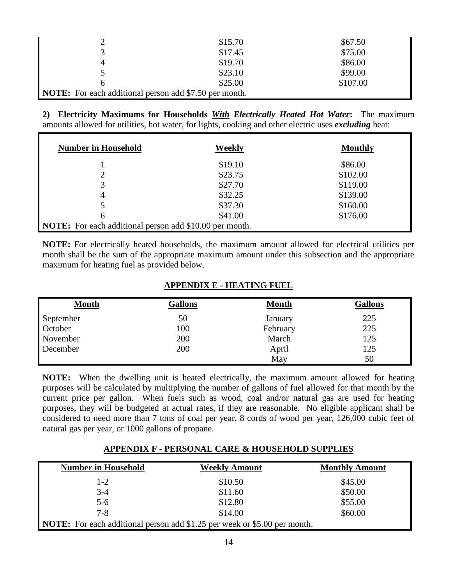| ∍                                                             | \$15.70 | \$67.50  |
|---------------------------------------------------------------|---------|----------|
| 3                                                             | \$17.45 | \$75.00  |
| 4                                                             | \$19.70 | \$86.00  |
|                                                               | \$23.10 | \$99.00  |
| h                                                             | \$25.00 | \$107.00 |
| <b>NOTE:</b> For each additional person add \$7.50 per month. |         |          |

**2) Electricity Maximums for Households** *With Electrically Heated Hot Water***:** The maximum amounts allowed for utilities, hot water, for lights, cooking and other electric uses *excluding* heat:

| <b>Number in Household</b>                                     | Weekly  | <b>Monthly</b> |
|----------------------------------------------------------------|---------|----------------|
|                                                                | \$19.10 | \$86.00        |
|                                                                | \$23.75 | \$102.00       |
| 3                                                              | \$27.70 | \$119.00       |
| 4                                                              | \$32.25 | \$139.00       |
|                                                                | \$37.30 | \$160.00       |
| 6                                                              | \$41.00 | \$176.00       |
| <b>NOTE:</b> For each additional person add \$10.00 per month. |         |                |

**NOTE:** For electrically heated households, the maximum amount allowed for electrical utilities per month shall be the sum of the appropriate maximum amount under this subsection and the appropriate maximum for heating fuel as provided below.

## **APPENDIX E - HEATING FUEL**

| <b>Month</b> | <b>Gallons</b> | <b>Month</b> | <b>Gallons</b> |
|--------------|----------------|--------------|----------------|
| September    | 50             | January      | 225            |
| October      | 100            | February     | 225            |
| November     | 200            | March        | 125            |
| December     | 200            | April        | 125            |
|              |                | May          | 50             |

**NOTE:** When the dwelling unit is heated electrically, the maximum amount allowed for heating purposes will be calculated by multiplying the number of gallons of fuel allowed for that month by the current price per gallon. When fuels such as wood, coal and/or natural gas are used for heating purposes, they will be budgeted at actual rates, if they are reasonable. No eligible applicant shall be considered to need more than 7 tons of coal per year, 8 cords of wood per year, 126,000 cubic feet of natural gas per year, or 1000 gallons of propane.

## **APPENDIX F - PERSONAL CARE & HOUSEHOLD SUPPLIES**

| <b>Number in Household</b>                                                       | <b>Weekly Amount</b> | <b>Monthly Amount</b> |
|----------------------------------------------------------------------------------|----------------------|-----------------------|
| $1 - 2$                                                                          | \$10.50              | \$45.00               |
| $3-4$                                                                            | \$11.60              | \$50.00               |
| $5-6$                                                                            | \$12.80              | \$55.00               |
| $7 - 8$                                                                          | \$14.00              | \$60.00               |
| <b>NOTE:</b> For each additional person add \$1.25 per week or \$5.00 per month. |                      |                       |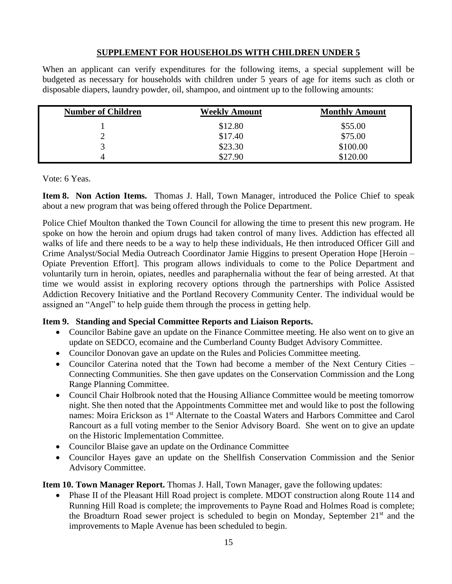# **SUPPLEMENT FOR HOUSEHOLDS WITH CHILDREN UNDER 5**

When an applicant can verify expenditures for the following items, a special supplement will be budgeted as necessary for households with children under 5 years of age for items such as cloth or disposable diapers, laundry powder, oil, shampoo, and ointment up to the following amounts:

| <b>Number of Children</b> | <b>Weekly Amount</b> | <b>Monthly Amount</b> |
|---------------------------|----------------------|-----------------------|
|                           | \$12.80              | \$55.00               |
| ∸                         | \$17.40              | \$75.00               |
| ◠                         | \$23.30              | \$100.00              |
| 4                         | \$27.90              | \$120.00              |

Vote: 6 Yeas.

**Item 8. Non Action Items.** Thomas J. Hall, Town Manager, introduced the Police Chief to speak about a new program that was being offered through the Police Department.

Police Chief Moulton thanked the Town Council for allowing the time to present this new program. He spoke on how the heroin and opium drugs had taken control of many lives. Addiction has effected all walks of life and there needs to be a way to help these individuals, He then introduced Officer Gill and Crime Analyst/Social Media Outreach Coordinator Jamie Higgins to present Operation Hope [Heroin – Opiate Prevention Effort]. This program allows individuals to come to the Police Department and voluntarily turn in heroin, opiates, needles and paraphernalia without the fear of being arrested. At that time we would assist in exploring recovery options through the partnerships with Police Assisted Addiction Recovery Initiative and the Portland Recovery Community Center. The individual would be assigned an "Angel" to help guide them through the process in getting help.

## **Item 9. Standing and Special Committee Reports and Liaison Reports.**

- Councilor Babine gave an update on the Finance Committee meeting. He also went on to give an update on SEDCO, ecomaine and the Cumberland County Budget Advisory Committee.
- Councilor Donovan gave an update on the Rules and Policies Committee meeting.
- Councilor Caterina noted that the Town had become a member of the Next Century Cities Connecting Communities. She then gave updates on the Conservation Commission and the Long Range Planning Committee.
- Council Chair Holbrook noted that the Housing Alliance Committee would be meeting tomorrow night. She then noted that the Appointments Committee met and would like to post the following names: Moira Erickson as 1<sup>st</sup> Alternate to the Coastal Waters and Harbors Committee and Carol Rancourt as a full voting member to the Senior Advisory Board. She went on to give an update on the Historic Implementation Committee.
- Councilor Blaise gave an update on the Ordinance Committee
- Councilor Hayes gave an update on the Shellfish Conservation Commission and the Senior Advisory Committee.

**Item 10. Town Manager Report.** Thomas J. Hall, Town Manager, gave the following updates:

• Phase II of the Pleasant Hill Road project is complete. MDOT construction along Route 114 and Running Hill Road is complete; the improvements to Payne Road and Holmes Road is complete; the Broadturn Road sewer project is scheduled to begin on Monday, September  $21<sup>st</sup>$  and the improvements to Maple Avenue has been scheduled to begin.